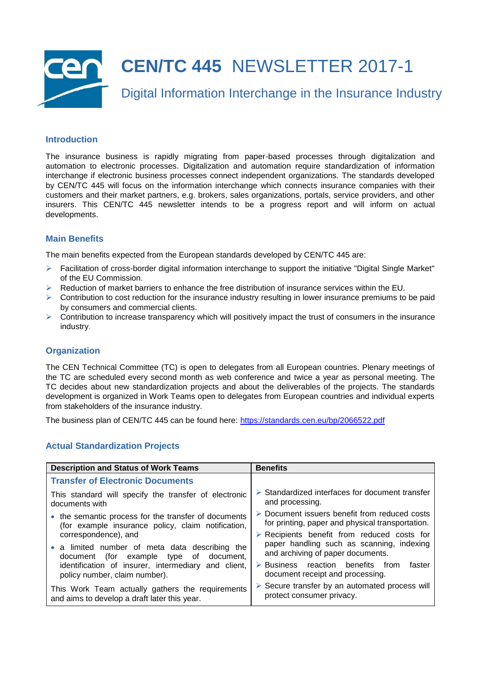

# **Introduction**

The insurance business is rapidly migrating from paper-based processes through digitalization and automation to electronic processes. Digitalization and automation require standardization of information interchange if electronic business processes connect independent organizations. The standards developed by CEN/TC 445 will focus on the information interchange which connects insurance companies with their customers and their market partners, e.g. brokers, sales organizations, portals, service providers, and other insurers. This CEN/TC 445 newsletter intends to be a progress report and will inform on actual developments.

# **Main Benefits**

The main benefits expected from the European standards developed by CEN/TC 445 are:

- $\triangleright$  Facilitation of cross-border digital information interchange to support the initiative "Digital Single Market" of the EU Commission.
- $\triangleright$  Reduction of market barriers to enhance the free distribution of insurance services within the EU.
- $\triangleright$  Contribution to cost reduction for the insurance industry resulting in lower insurance premiums to be paid by consumers and commercial clients.
- $\triangleright$  Contribution to increase transparency which will positively impact the trust of consumers in the insurance industry.

### **Organization**

The CEN Technical Committee (TC) is open to delegates from all European countries. Plenary meetings of the TC are scheduled every second month as web conference and twice a year as personal meeting. The TC decides about new standardization projects and about the deliverables of the projects. The standards development is organized in Work Teams open to delegates from European countries and individual experts from stakeholders of the insurance industry.

The business plan of CEN/TC 445 can be found here: <https://standards.cen.eu/bp/2066522.pdf>

# **Actual Standardization Projects**

| <b>Description and Status of Work Teams</b>                                          | <b>Benefits</b>                                                                                |
|--------------------------------------------------------------------------------------|------------------------------------------------------------------------------------------------|
| <b>Transfer of Electronic Documents</b>                                              |                                                                                                |
| This standard will specify the transfer of electronic                                | $\triangleright$ Standardized interfaces for document transfer                                 |
| documents with                                                                       | and processing.                                                                                |
| • the semantic process for the transfer of documents                                 | $\triangleright$ Document issuers benefit from reduced costs                                   |
| (for example insurance policy, claim notification,                                   | for printing, paper and physical transportation.                                               |
| correspondence), and                                                                 | $\triangleright$ Recipients benefit from reduced costs for                                     |
| • a limited number of meta data describing the                                       | paper handling such as scanning, indexing                                                      |
| document (for example type of document,                                              | and archiving of paper documents.                                                              |
| identification of insurer, intermediary and client,<br>policy number, claim number). | $\triangleright$ Business reaction benefits from<br>faster<br>document receipt and processing. |
| This Work Team actually gathers the requirements                                     | $\triangleright$ Secure transfer by an automated process will                                  |
| and aims to develop a draft later this year.                                         | protect consumer privacy.                                                                      |